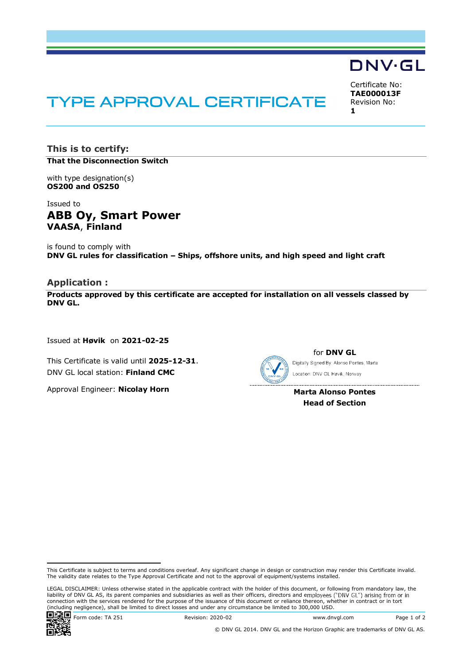# **TYPE APPROVAL CERTIFICATE**

Certificate No: TAE000013F Revision No: 1

**DNV·GL** 

This is to certify: That the Disconnection Switch

with type designation(s) OS200 and OS250

Issued to ABB Oy, Smart Power VAASA, Finland

is found to comply with DNV GL rules for classification - Ships, offshore units, and high speed and light craft

## Application :

Products approved by this certificate are accepted for installation on all vessels classed by DNV GL.

Issued at Høvik on 2021-02-25

This Certificate is valid until 2025-12-31. DNV GL local station: Finland CMC

Approval Engineer: Nicolay Horn



for DNV GL Digitally Signed By: Alonso Pontes, Marta Location: DNV GL Høvik, Norway

Marta Alonso Pontes Head of Section

LEGAL DISCLAIMER: Unless otherwise stated in the applicable contract with the holder of this document, or following from mandatory law, the liability of DNV GL AS, its parent companies and subsidiaries as well as their officers, directors and employees ("DNV GL") arising from or in connection with the services rendered for the purpose of the issuance of this document or reliance thereon, whether in contract or in tort (including negligence), shall be limited to direct losses and under any circumstance be limited to 300,000 USD.



Form code: TA 251 Revision: 2020-02 www.dnvgl.com Page 1 of 2

This Certificate is subject to terms and conditions overleaf. Any significant change in design or construction may render this Certificate invalid. The validity date relates to the Type Approval Certificate and not to the approval of equipment/systems installed.